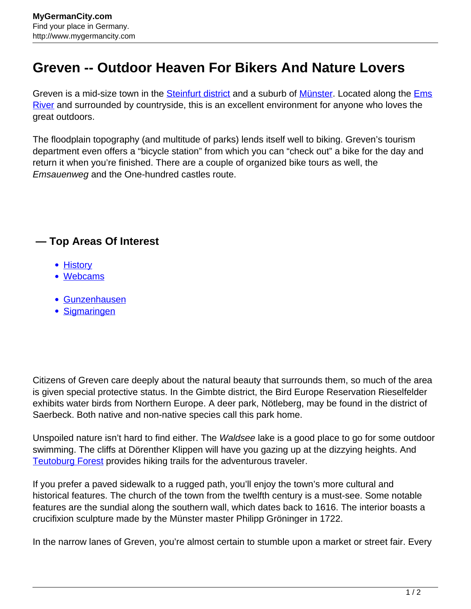## **Greven -- Outdoor Heaven For Bikers And Nature Lovers**

Greven is a mid-size town in the **[Steinfurt district](http://www.mygermancity.com/steinfurt-district)** and a suburb of **Münster**. Located along the **Ems** [River](http://www.mygermancity.com/ems-river) and surrounded by countryside, this is an excellent environment for anyone who loves the great outdoors.

The floodplain topography (and multitude of parks) lends itself well to biking. Greven's tourism department even offers a "bicycle station" from which you can "check out" a bike for the day and return it when you're finished. There are a couple of organized bike tours as well, the Emsauenweg and the One-hundred castles route.

## **— Top Areas Of Interest**

- **[History](http://www.mygermancity.com/leipzig-history)**
- [Webcams](http://www.mygermancity.com/neustadt-holstein-webcams)
- [Gunzenhausen](http://www.mygermancity.com/gunzenhausen)
- [Sigmaringen](http://www.mygermancity.com/sigmaringen)

Citizens of Greven care deeply about the natural beauty that surrounds them, so much of the area is given special protective status. In the Gimbte district, the Bird Europe Reservation Rieselfelder exhibits water birds from Northern Europe. A deer park, Nötleberg, may be found in the district of Saerbeck. Both native and non-native species call this park home.

Unspoiled nature isn't hard to find either. The *Waldsee* lake is a good place to go for some outdoor swimming. The cliffs at Dörenther Klippen will have you gazing up at the dizzying heights. And [Teutoburg Forest](http://www.mygermancity.com/teutoburg-forest) provides hiking trails for the adventurous traveler.

If you prefer a paved sidewalk to a rugged path, you'll enjoy the town's more cultural and historical features. The church of the town from the twelfth century is a must-see. Some notable features are the sundial along the southern wall, which dates back to 1616. The interior boasts a crucifixion sculpture made by the Münster master Philipp Gröninger in 1722.

In the narrow lanes of Greven, you're almost certain to stumble upon a market or street fair. Every